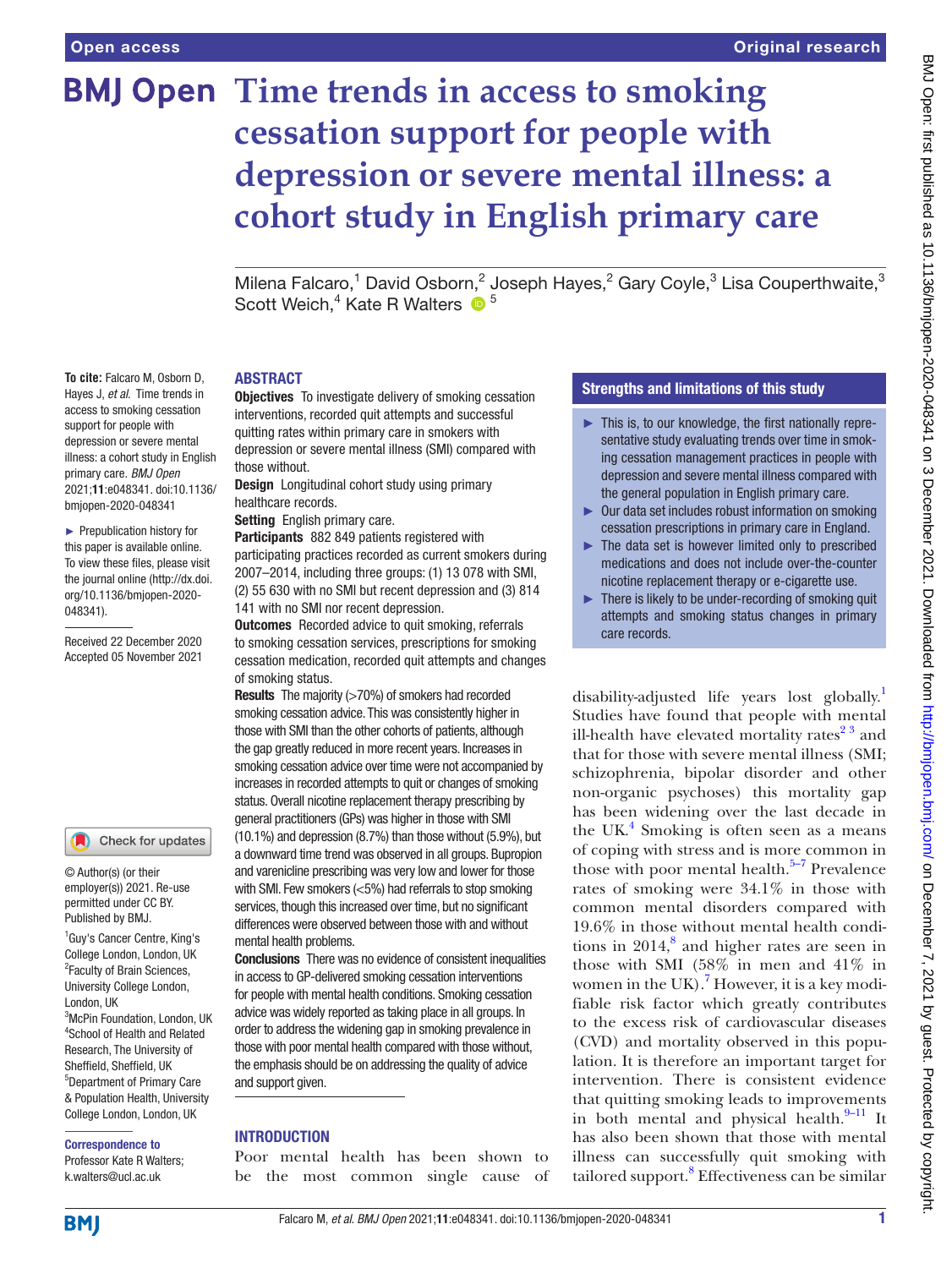**To cite:** Falcaro M, Osborn D, Hayes J, *et al*. Time trends in access to smoking cessation support for people with depression or severe mental illness: a cohort study in English primary care. *BMJ Open* 2021;11:e048341. doi:10.1136/ bmjopen-2020-048341 ► Prepublication history for this paper is available online. To view these files, please visit the journal online [\(http://dx.doi.](http://dx.doi.org/10.1136/bmjopen-2020-048341) [org/10.1136/bmjopen-2020-](http://dx.doi.org/10.1136/bmjopen-2020-048341)

Received 22 December 2020 Accepted 05 November 2021

[048341\)](http://dx.doi.org/10.1136/bmjopen-2020-048341).

# **BMJ Open Time trends in access to smoking cessation support for people with depression or severe mental illness: a cohort study in English primary care**

Milena Falcaro,<sup>1</sup> David Osborn,<sup>2</sup> Joseph Hayes,<sup>2</sup> Gary Coyle,<sup>3</sup> Lisa Couperthwaite,<sup>3</sup> Scott Weich,<sup>4</sup> Kate R Walters <sup>6</sup><sup>5</sup>

#### ABSTRACT

**Objectives** To investigate delivery of smoking cessation interventions, recorded quit attempts and successful quitting rates within primary care in smokers with depression or severe mental illness (SMI) compared with those without.

Design Longitudinal cohort study using primary healthcare records.

Setting English primary care.

Participants 882 849 patients registered with participating practices recorded as current smokers during 2007–2014, including three groups: (1) 13 078 with SMI, (2) 55 630 with no SMI but recent depression and (3) 814 141 with no SMI nor recent depression.

**Outcomes** Recorded advice to quit smoking, referrals to smoking cessation services, prescriptions for smoking cessation medication, recorded quit attempts and changes of smoking status.

Results The majority (>70%) of smokers had recorded smoking cessation advice. This was consistently higher in those with SMI than the other cohorts of patients, although the gap greatly reduced in more recent years. Increases in smoking cessation advice over time were not accompanied by increases in recorded attempts to quit or changes of smoking status. Overall nicotine replacement therapy prescribing by general practitioners (GPs) was higher in those with SMI (10.1%) and depression (8.7%) than those without (5.9%), but a downward time trend was observed in all groups. Bupropion and varenicline prescribing was very low and lower for those with SMI. Few smokers (<5%) had referrals to stop smoking services, though this increased over time, but no significant differences were observed between those with and without mental health problems.

**Conclusions** There was no evidence of consistent inequalities in access to GP-delivered smoking cessation interventions for people with mental health conditions. Smoking cessation advice was widely reported as taking place in all groups. In order to address the widening gap in smoking prevalence in those with poor mental health compared with those without, the emphasis should be on addressing the quality of advice and support given.

#### **INTRODUCTION**

Poor mental health has been shown to be the most common single cause of

#### Strengths and limitations of this study

- ► This is, to our knowledge, the first nationally representative study evaluating trends over time in smoking cessation management practices in people with depression and severe mental illness compared with the general population in English primary care.
- ► Our data set includes robust information on smoking cessation prescriptions in primary care in England.
- $\blacktriangleright$  The data set is however limited only to prescribed medications and does not include over-the-counter nicotine replacement therapy or e-cigarette use.
- ► There is likely to be under-recording of smoking quit attempts and smoking status changes in primary care records.

disability-adjusted life years lost globally.<sup>[1](#page-8-0)</sup> Studies have found that people with mental ill-health have elevated mortality rates $2<sup>3</sup>$  and that for those with severe mental illness (SMI; schizophrenia, bipolar disorder and other non-organic psychoses) this mortality gap has been widening over the last decade in the UK.<sup>[4](#page-8-2)</sup> Smoking is often seen as a means of coping with stress and is more common in those with poor mental health. $5-7$  Prevalence rates of smoking were 34.1% in those with common mental disorders compared with 19.6% in those without mental health conditions in  $2014$ ,<sup>[8](#page-8-4)</sup> and higher rates are seen in those with SMI (58% in men and 41% in women in the UK).<sup>7</sup> However, it is a key modifiable risk factor which greatly contributes to the excess risk of cardiovascular diseases (CVD) and mortality observed in this population. It is therefore an important target for intervention. There is consistent evidence that quitting smoking leads to improvements in both mental and physical health. $9-11$  It has also been shown that those with mental illness can successfully quit smoking with tailored support.<sup>8</sup> Effectiveness can be similar

1 Guy's Cancer Centre, King's College London, London, UK

© Author(s) (or their employer(s)) 2021. Re-use permitted under CC BY. Published by BMJ.

Check for updates

<sup>2</sup> Faculty of Brain Sciences, University College London, London, UK <sup>3</sup>McPin Foundation, London, UK 4 School of Health and Related Research, The University of Sheffield, Sheffield, UK 5 Department of Primary Care & Population Health, University College London, London, UK

#### Correspondence to

Professor Kate R Walters; k.walters@ucl.ac.uk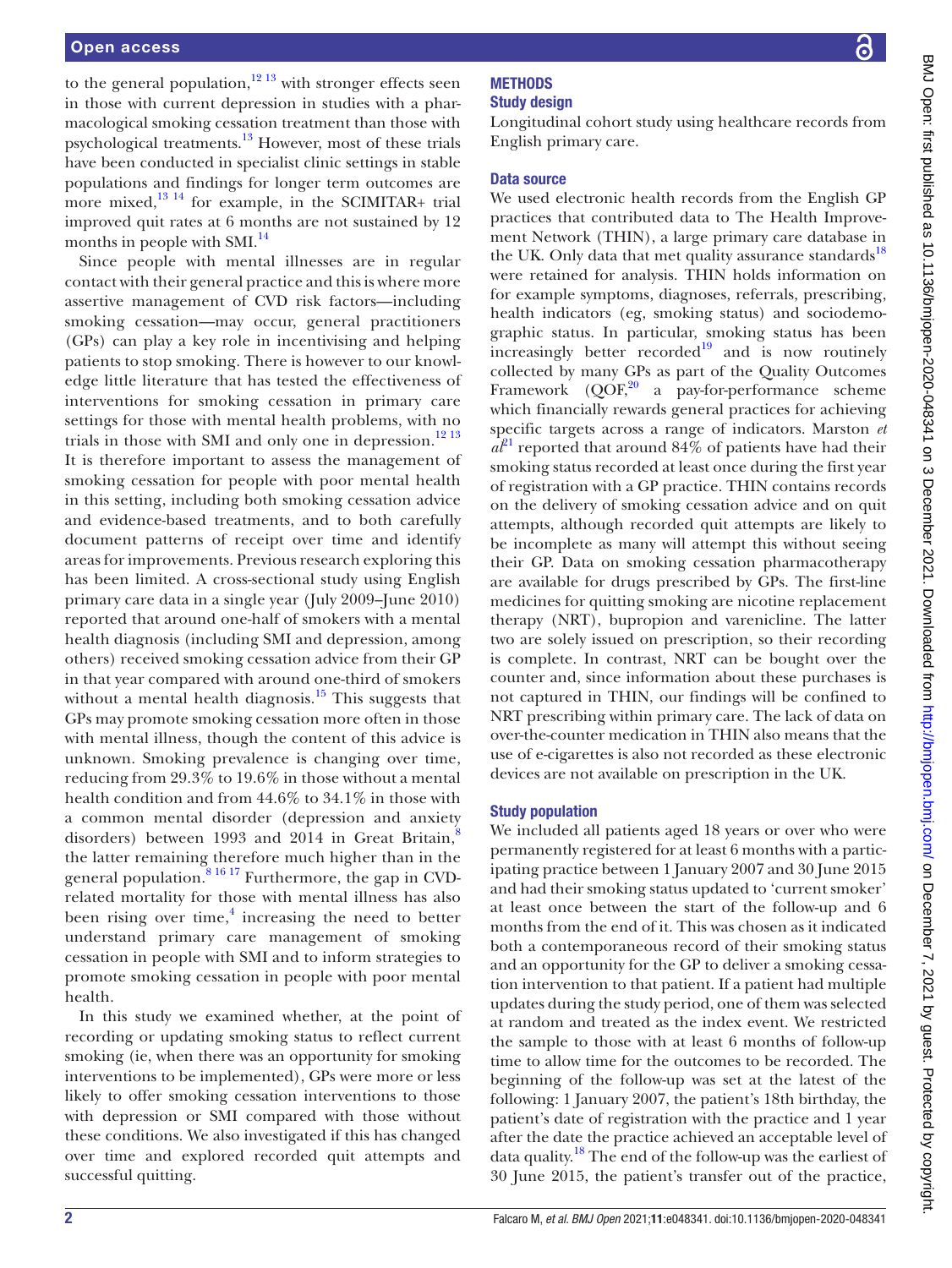to the general population, $12^{13}$  with stronger effects seen in those with current depression in studies with a pharmacological smoking cessation treatment than those with psychological treatments.<sup>[13](#page-8-8)</sup> However, most of these trials have been conducted in specialist clinic settings in stable populations and findings for longer term outcomes are more mixed, $^{13}$ <sup>14</sup> for example, in the SCIMITAR+ trial improved quit rates at 6 months are not sustained by 12 months in people with SMI.<sup>[14](#page-8-9)</sup>

Since people with mental illnesses are in regular contact with their general practice and this is where more assertive management of CVD risk factors—including smoking cessation—may occur, general practitioners (GPs) can play a key role in incentivising and helping patients to stop smoking. There is however to our knowledge little literature that has tested the effectiveness of interventions for smoking cessation in primary care settings for those with mental health problems, with no trials in those with SMI and only one in depression.<sup>[12 13](#page-8-7)</sup> It is therefore important to assess the management of smoking cessation for people with poor mental health in this setting, including both smoking cessation advice and evidence-based treatments, and to both carefully document patterns of receipt over time and identify areas for improvements. Previous research exploring this has been limited. A cross-sectional study using English primary care data in a single year (July 2009–June 2010) reported that around one-half of smokers with a mental health diagnosis (including SMI and depression, among others) received smoking cessation advice from their GP in that year compared with around one-third of smokers without a mental health diagnosis.<sup>[15](#page-8-10)</sup> This suggests that GPs may promote smoking cessation more often in those with mental illness, though the content of this advice is unknown. Smoking prevalence is changing over time, reducing from 29.3% to 19.6% in those without a mental health condition and from 44.6% to 34.1% in those with a common mental disorder (depression and anxiety disorders) between 1993 and 2014 in Great Britain, $\frac{8}{3}$  $\frac{8}{3}$  $\frac{8}{3}$ the latter remaining therefore much higher than in the general population. $81617$  Furthermore, the gap in CVDrelated mortality for those with mental illness has also been rising over time, $4$  increasing the need to better understand primary care management of smoking cessation in people with SMI and to inform strategies to promote smoking cessation in people with poor mental health.

In this study we examined whether, at the point of recording or updating smoking status to reflect current smoking (ie, when there was an opportunity for smoking interventions to be implemented), GPs were more or less likely to offer smoking cessation interventions to those with depression or SMI compared with those without these conditions. We also investigated if this has changed over time and explored recorded quit attempts and successful quitting.

# **METHODS**

# Study design

Longitudinal cohort study using healthcare records from English primary care.

# Data source

We used electronic health records from the English GP practices that contributed data to The Health Improvement Network (THIN), a large primary care database in the UK. Only data that met quality assurance standards<sup>[18](#page-8-11)</sup> were retained for analysis. THIN holds information on for example symptoms, diagnoses, referrals, prescribing, health indicators (eg, smoking status) and sociodemographic status. In particular, smoking status has been increasingly better recorded<sup>19</sup> and is now routinely collected by many GPs as part of the Quality Outcomes Framework  $(QOF<sub>1</sub><sup>20</sup>$  a pay-for-performance scheme which financially rewards general practices for achieving specific targets across a range of indicators. Marston *et*   $a<sup>p1</sup>$  reported that around 84% of patients have had their smoking status recorded at least once during the first year of registration with a GP practice. THIN contains records on the delivery of smoking cessation advice and on quit attempts, although recorded quit attempts are likely to be incomplete as many will attempt this without seeing their GP. Data on smoking cessation pharmacotherapy are available for drugs prescribed by GPs. The first-line medicines for quitting smoking are nicotine replacement therapy (NRT), bupropion and varenicline. The latter two are solely issued on prescription, so their recording is complete. In contrast, NRT can be bought over the counter and, since information about these purchases is not captured in THIN, our findings will be confined to NRT prescribing within primary care. The lack of data on over-the-counter medication in THIN also means that the use of e-cigarettes is also not recorded as these electronic devices are not available on prescription in the UK.

# Study population

We included all patients aged 18 years or over who were permanently registered for at least 6 months with a participating practice between 1 January 2007 and 30 June 2015 and had their smoking status updated to 'current smoker' at least once between the start of the follow-up and 6 months from the end of it. This was chosen as it indicated both a contemporaneous record of their smoking status and an opportunity for the GP to deliver a smoking cessation intervention to that patient. If a patient had multiple updates during the study period, one of them was selected at random and treated as the index event. We restricted the sample to those with at least 6 months of follow-up time to allow time for the outcomes to be recorded. The beginning of the follow-up was set at the latest of the following: 1 January 2007, the patient's 18th birthday, the patient's date of registration with the practice and 1 year after the date the practice achieved an acceptable level of data quality.[18](#page-8-11) The end of the follow-up was the earliest of 30 June 2015, the patient's transfer out of the practice,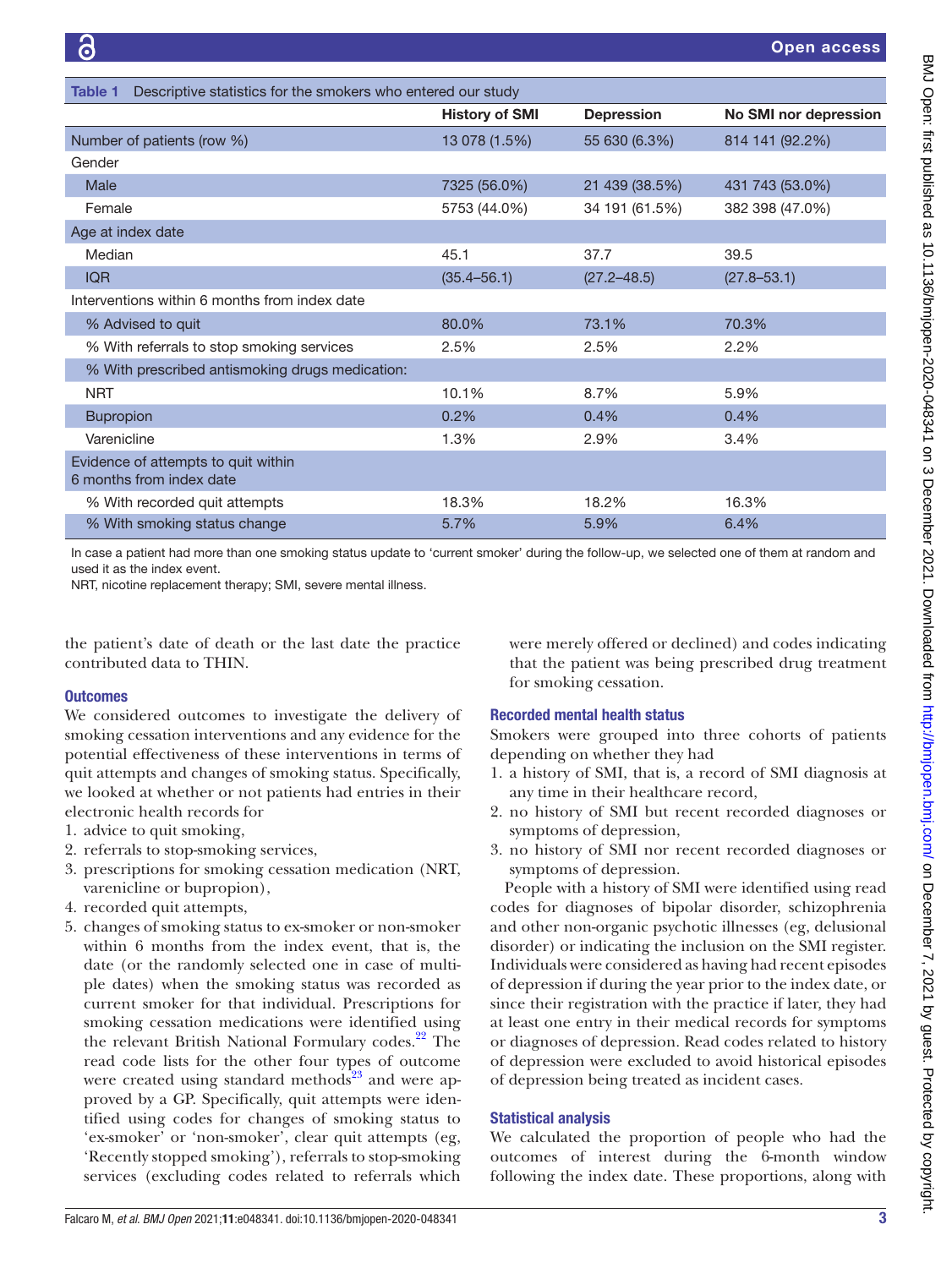<span id="page-2-0"></span>

| Descriptive statistics for the smokers who entered our study<br>Table 1 |                       |                   |                       |  |  |
|-------------------------------------------------------------------------|-----------------------|-------------------|-----------------------|--|--|
|                                                                         | <b>History of SMI</b> | <b>Depression</b> | No SMI nor depression |  |  |
| Number of patients (row %)                                              | 13 078 (1.5%)         | 55 630 (6.3%)     | 814 141 (92.2%)       |  |  |
| Gender                                                                  |                       |                   |                       |  |  |
| Male                                                                    | 7325 (56.0%)          | 21 439 (38.5%)    | 431 743 (53.0%)       |  |  |
| Female                                                                  | 5753 (44.0%)          | 34 191 (61.5%)    | 382 398 (47.0%)       |  |  |
| Age at index date                                                       |                       |                   |                       |  |  |
| Median                                                                  | 45.1                  | 37.7              | 39.5                  |  |  |
| <b>IQR</b>                                                              | $(35.4 - 56.1)$       | $(27.2 - 48.5)$   | $(27.8 - 53.1)$       |  |  |
| Interventions within 6 months from index date                           |                       |                   |                       |  |  |
| % Advised to quit                                                       | 80.0%                 | 73.1%             | 70.3%                 |  |  |
| % With referrals to stop smoking services                               | 2.5%                  | 2.5%              | 2.2%                  |  |  |
| % With prescribed antismoking drugs medication:                         |                       |                   |                       |  |  |
| <b>NRT</b>                                                              | 10.1%                 | 8.7%              | 5.9%                  |  |  |
| <b>Bupropion</b>                                                        | 0.2%                  | 0.4%              | 0.4%                  |  |  |
| Varenicline                                                             | 1.3%                  | 2.9%              | 3.4%                  |  |  |
| Evidence of attempts to quit within<br>6 months from index date         |                       |                   |                       |  |  |
| % With recorded quit attempts                                           | 18.3%                 | 18.2%             | 16.3%                 |  |  |
| % With smoking status change                                            | 5.7%                  | 5.9%              | 6.4%                  |  |  |

In case a patient had more than one smoking status update to 'current smoker' during the follow-up, we selected one of them at random and used it as the index event.

NRT, nicotine replacement therapy; SMI, severe mental illness.

the patient's date of death or the last date the practice contributed data to THIN.

#### **Outcomes**

We considered outcomes to investigate the delivery of smoking cessation interventions and any evidence for the potential effectiveness of these interventions in terms of quit attempts and changes of smoking status. Specifically, we looked at whether or not patients had entries in their electronic health records for

- 1. advice to quit smoking,
- 2. referrals to stop-smoking services,
- 3. prescriptions for smoking cessation medication (NRT, varenicline or bupropion),
- 4. recorded quit attempts,
- 5. changes of smoking status to ex-smoker or non-smoker within 6 months from the index event, that is, the date (or the randomly selected one in case of multiple dates) when the smoking status was recorded as current smoker for that individual. Prescriptions for smoking cessation medications were identified using the relevant British National Formulary codes.<sup>22</sup> The read code lists for the other four types of outcome were created using standard methods<sup>23</sup> and were approved by a GP. Specifically, quit attempts were identified using codes for changes of smoking status to 'ex-smoker' or 'non-smoker', clear quit attempts (eg, 'Recently stopped smoking'), referrals to stop-smoking services (excluding codes related to referrals which

were merely offered or declined) and codes indicating that the patient was being prescribed drug treatment for smoking cessation.

#### Recorded mental health status

Smokers were grouped into three cohorts of patients depending on whether they had

- 1. a history of SMI, that is, a record of SMI diagnosis at any time in their healthcare record,
- 2. no history of SMI but recent recorded diagnoses or symptoms of depression,
- 3. no history of SMI nor recent recorded diagnoses or symptoms of depression.

People with a history of SMI were identified using read codes for diagnoses of bipolar disorder, schizophrenia and other non-organic psychotic illnesses (eg, delusional disorder) or indicating the inclusion on the SMI register. Individuals were considered as having had recent episodes of depression if during the year prior to the index date, or since their registration with the practice if later, they had at least one entry in their medical records for symptoms or diagnoses of depression. Read codes related to history of depression were excluded to avoid historical episodes of depression being treated as incident cases.

#### Statistical analysis

We calculated the proportion of people who had the outcomes of interest during the 6-month window following the index date. These proportions, along with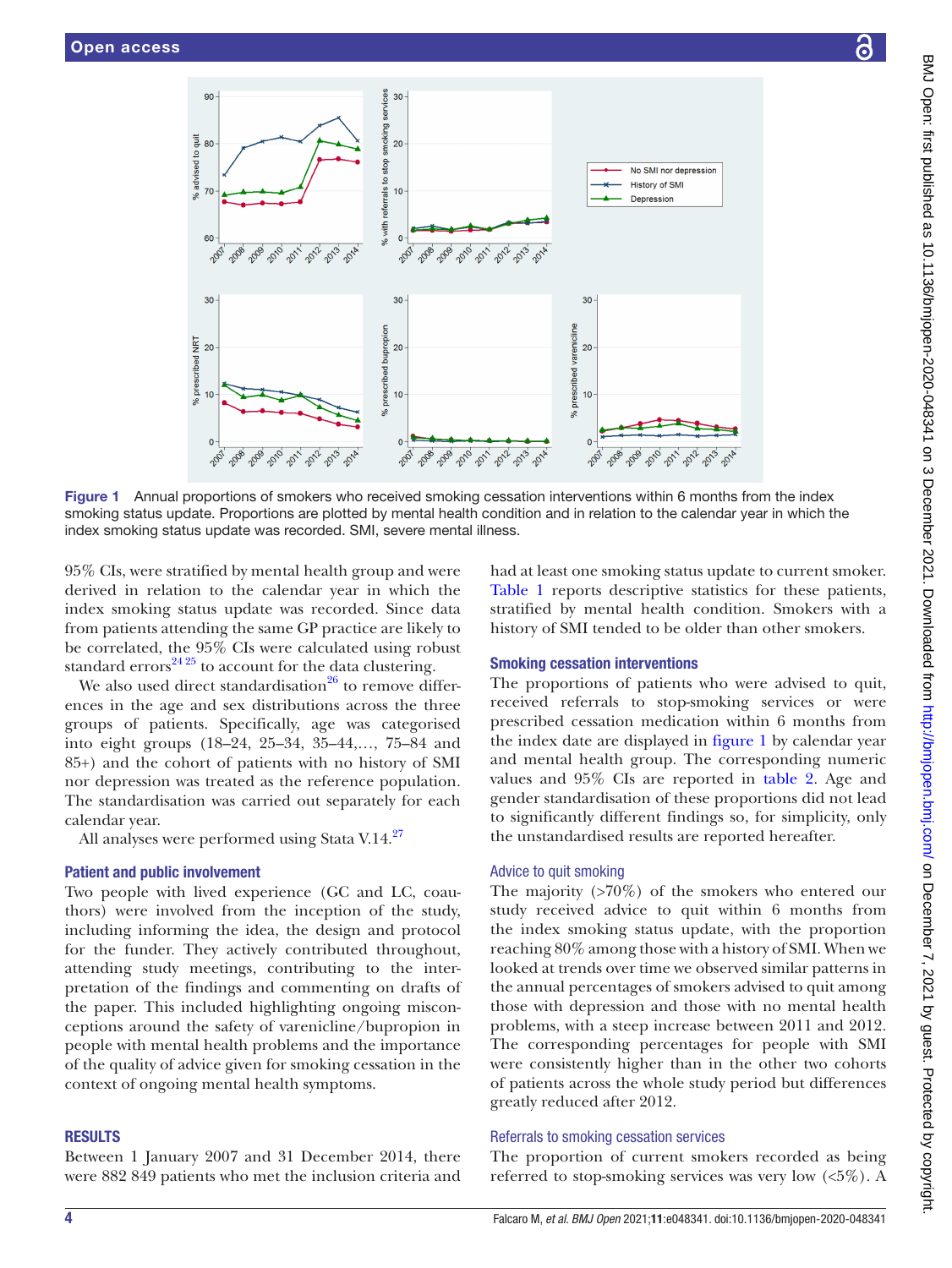$90^{\circ}$ 

% advised to quit  $BC$ 

 $7<sup>c</sup>$ 

60

 $3<sup>c</sup>$ 

% prescribed NRT  $\overline{2}$ 

 $10<sup>1</sup>$ 

 $\Omega$ 

2007

2010 2011

2012-0013



Figure 1 Annual proportions of smokers who received smoking cessation interventions within 6 months from the index smoking status update. Proportions are plotted by mental health condition and in relation to the calendar year in which the index smoking status update was recorded. SMI, severe mental illness.

2010

201

2012

2011

services  $\mathbf{a}$ 

moking

% with referrals to

 $20$ stop

 $10$ 

 $\Omega$ 

 $30$ 

 $\alpha$ 

 $10$ 

 $\sqrt{2}$ 

<span id="page-3-0"></span>2007

% prescribed bupropion

2007

95% CIs, were stratified by mental health group and were derived in relation to the calendar year in which the index smoking status update was recorded. Since data from patients attending the same GP practice are likely to be correlated, the 95% CIs were calculated using robust standard errors $^{24\,25}$  to account for the data clustering.

We also used direct standardisation $^{26}$  to remove differences in the age and sex distributions across the three groups of patients. Specifically, age was categorised into eight groups (18–24, 25–34, 35–44,…, 75–84 and 85+) and the cohort of patients with no history of SMI nor depression was treated as the reference population. The standardisation was carried out separately for each calendar year.

All analyses were performed using Stata V.14.<sup>[27](#page-8-19)</sup>

#### Patient and public involvement

Two people with lived experience (GC and LC, coauthors) were involved from the inception of the study, including informing the idea, the design and protocol for the funder. They actively contributed throughout, attending study meetings, contributing to the interpretation of the findings and commenting on drafts of the paper. This included highlighting ongoing misconceptions around the safety of varenicline/bupropion in people with mental health problems and the importance of the quality of advice given for smoking cessation in the context of ongoing mental health symptoms.

#### **RESULTS**

Between 1 January 2007 and 31 December 2014, there were 882 849 patients who met the inclusion criteria and had at least one smoking status update to current smoker. [Table](#page-2-0) 1 reports descriptive statistics for these patients, stratified by mental health condition. Smokers with a history of SMI tended to be older than other smokers.

#### Smoking cessation interventions

30

 $\alpha$ 

 $10$ 

 $\Omega$ 

arenicline

% prescribed

The proportions of patients who were advised to quit, received referrals to stop-smoking services or were prescribed cessation medication within 6 months from the index date are displayed in [figure](#page-3-0) 1 by calendar year and mental health group. The corresponding numeric values and 95% CIs are reported in [table](#page-4-0) 2. Age and gender standardisation of these proportions did not lead to significantly different findings so, for simplicity, only the unstandardised results are reported hereafter.

#### Advice to quit smoking

The majority (>70%) of the smokers who entered our study received advice to quit within 6 months from the index smoking status update, with the proportion reaching 80% among those with a history of SMI. When we looked at trends over time we observed similar patterns in the annual percentages of smokers advised to quit among those with depression and those with no mental health problems, with a steep increase between 2011 and 2012. The corresponding percentages for people with SMI were consistently higher than in the other two cohorts of patients across the whole study period but differences greatly reduced after 2012.

#### Referrals to smoking cessation services

The proportion of current smokers recorded as being referred to stop-smoking services was very low (<5%). A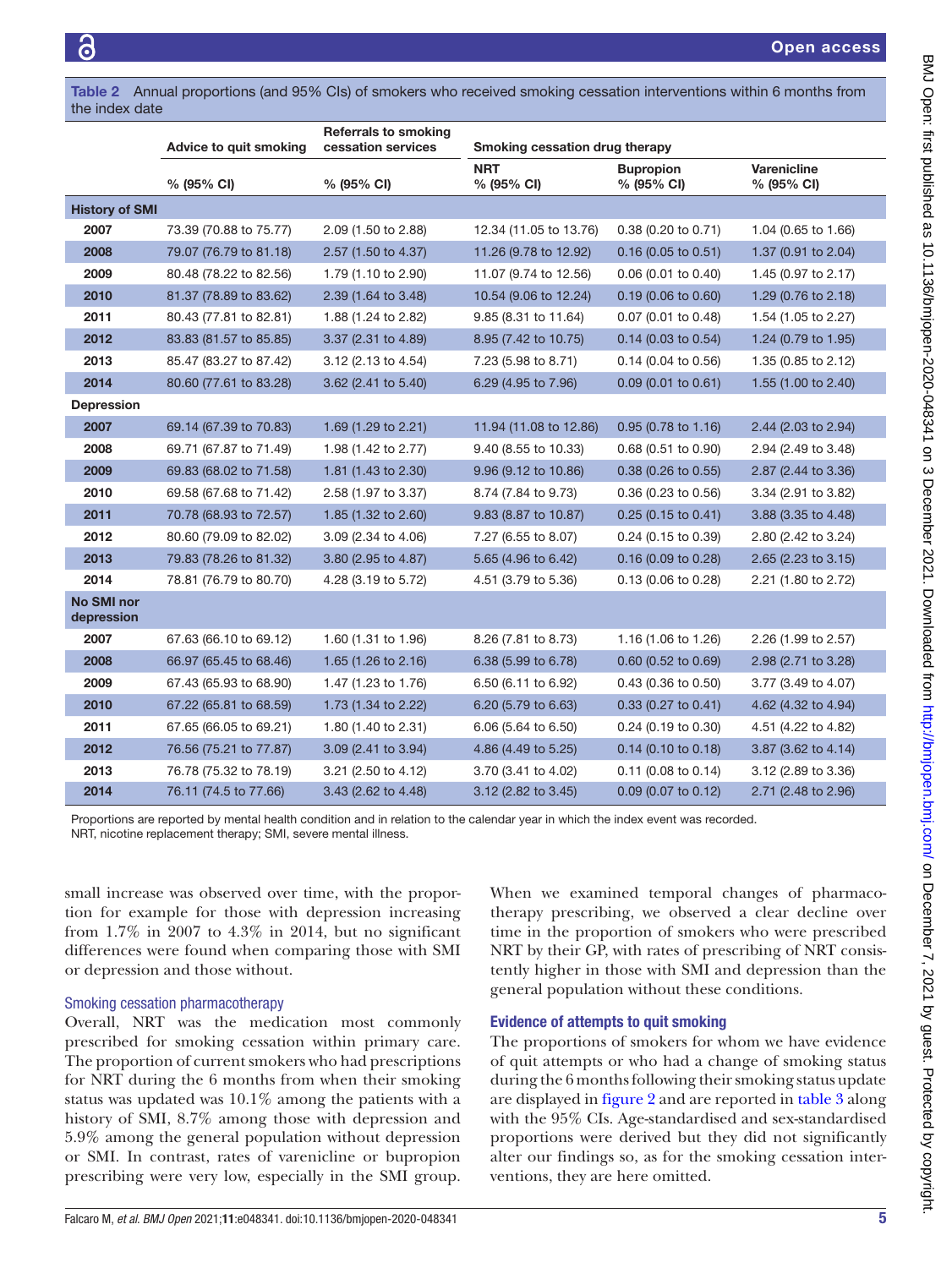Open access

<span id="page-4-0"></span>Table 2 Annual proportions (and 95% CIs) of smokers who received smoking cessation interventions within 6 months from the index date

|                                 | Advice to quit smoking | <b>Referrals to smoking</b><br>cessation services | Smoking cessation drug therapy |                                |                              |
|---------------------------------|------------------------|---------------------------------------------------|--------------------------------|--------------------------------|------------------------------|
|                                 | % (95% CI)             | % (95% CI)                                        | <b>NRT</b><br>% (95% CI)       | <b>Bupropion</b><br>% (95% CI) | Varenicline<br>$% (95\% CI)$ |
| <b>History of SMI</b>           |                        |                                                   |                                |                                |                              |
| 2007                            | 73.39 (70.88 to 75.77) | 2.09 (1.50 to 2.88)                               | 12.34 (11.05 to 13.76)         | 0.38 (0.20 to 0.71)            | 1.04 (0.65 to 1.66)          |
| 2008                            | 79.07 (76.79 to 81.18) | 2.57 (1.50 to 4.37)                               | 11.26 (9.78 to 12.92)          | $0.16$ (0.05 to 0.51)          | 1.37 (0.91 to 2.04)          |
| 2009                            | 80.48 (78.22 to 82.56) | 1.79 (1.10 to 2.90)                               | 11.07 (9.74 to 12.56)          | $0.06$ (0.01 to 0.40)          | 1.45 (0.97 to 2.17)          |
| 2010                            | 81.37 (78.89 to 83.62) | 2.39 (1.64 to 3.48)                               | 10.54 (9.06 to 12.24)          | $0.19$ (0.06 to 0.60)          | 1.29 (0.76 to 2.18)          |
| 2011                            | 80.43 (77.81 to 82.81) | 1.88 (1.24 to 2.82)                               | 9.85 (8.31 to 11.64)           | 0.07 (0.01 to 0.48)            | 1.54 (1.05 to 2.27)          |
| 2012                            | 83.83 (81.57 to 85.85) | 3.37 (2.31 to 4.89)                               | 8.95 (7.42 to 10.75)           | 0.14 (0.03 to 0.54)            | 1.24 (0.79 to 1.95)          |
| 2013                            | 85.47 (83.27 to 87.42) | 3.12 (2.13 to 4.54)                               | 7.23 (5.98 to 8.71)            | $0.14$ (0.04 to 0.56)          | 1.35 (0.85 to 2.12)          |
| 2014                            | 80.60 (77.61 to 83.28) | 3.62 (2.41 to 5.40)                               | 6.29 (4.95 to 7.96)            | $0.09$ (0.01 to 0.61)          | 1.55 (1.00 to 2.40)          |
| <b>Depression</b>               |                        |                                                   |                                |                                |                              |
| 2007                            | 69.14 (67.39 to 70.83) | 1.69 (1.29 to 2.21)                               | 11.94 (11.08 to 12.86)         | 0.95 (0.78 to 1.16)            | 2.44 (2.03 to 2.94)          |
| 2008                            | 69.71 (67.87 to 71.49) | 1.98 (1.42 to 2.77)                               | 9.40 (8.55 to 10.33)           | 0.68 (0.51 to 0.90)            | 2.94 (2.49 to 3.48)          |
| 2009                            | 69.83 (68.02 to 71.58) | 1.81 (1.43 to 2.30)                               | 9.96 (9.12 to 10.86)           | $0.38$ (0.26 to 0.55)          | 2.87 (2.44 to 3.36)          |
| 2010                            | 69.58 (67.68 to 71.42) | 2.58 (1.97 to 3.37)                               | 8.74 (7.84 to 9.73)            | 0.36 (0.23 to 0.56)            | 3.34 (2.91 to 3.82)          |
| 2011                            | 70.78 (68.93 to 72.57) | 1.85 (1.32 to 2.60)                               | 9.83 (8.87 to 10.87)           | $0.25(0.15 \text{ to } 0.41)$  | 3.88 (3.35 to 4.48)          |
| 2012                            | 80.60 (79.09 to 82.02) | 3.09 (2.34 to 4.06)                               | 7.27 (6.55 to 8.07)            | 0.24 (0.15 to 0.39)            | 2.80 (2.42 to 3.24)          |
| 2013                            | 79.83 (78.26 to 81.32) | 3.80 (2.95 to 4.87)                               | 5.65 (4.96 to 6.42)            | $0.16$ (0.09 to 0.28)          | 2.65 (2.23 to 3.15)          |
| 2014                            | 78.81 (76.79 to 80.70) | 4.28 (3.19 to 5.72)                               | 4.51 (3.79 to 5.36)            | $0.13$ (0.06 to 0.28)          | 2.21 (1.80 to 2.72)          |
| <b>No SMI nor</b><br>depression |                        |                                                   |                                |                                |                              |
| 2007                            | 67.63 (66.10 to 69.12) | 1.60 (1.31 to 1.96)                               | 8.26 (7.81 to 8.73)            | 1.16 (1.06 to 1.26)            | 2.26 (1.99 to 2.57)          |
| 2008                            | 66.97 (65.45 to 68.46) | 1.65 (1.26 to 2.16)                               | 6.38 (5.99 to 6.78)            | $0.60$ (0.52 to 0.69)          | 2.98 (2.71 to 3.28)          |
| 2009                            | 67.43 (65.93 to 68.90) | 1.47 (1.23 to 1.76)                               | 6.50 (6.11 to 6.92)            | $0.43$ (0.36 to 0.50)          | 3.77 (3.49 to 4.07)          |
| 2010                            | 67.22 (65.81 to 68.59) | 1.73 (1.34 to 2.22)                               | 6.20 (5.79 to 6.63)            | $0.33$ (0.27 to 0.41)          | 4.62 (4.32 to 4.94)          |
| 2011                            | 67.65 (66.05 to 69.21) | 1.80 (1.40 to 2.31)                               | 6.06 (5.64 to 6.50)            | 0.24 (0.19 to 0.30)            | 4.51 (4.22 to 4.82)          |
| 2012                            | 76.56 (75.21 to 77.87) | 3.09 (2.41 to 3.94)                               | 4.86 (4.49 to 5.25)            | $0.14$ (0.10 to 0.18)          | 3.87 (3.62 to 4.14)          |
| 2013                            | 76.78 (75.32 to 78.19) | 3.21 (2.50 to 4.12)                               | 3.70 (3.41 to 4.02)            | $0.11$ (0.08 to 0.14)          | 3.12 (2.89 to 3.36)          |
| 2014                            | 76.11 (74.5 to 77.66)  | 3.43 (2.62 to 4.48)                               | 3.12 (2.82 to 3.45)            | $0.09$ (0.07 to 0.12)          | 2.71 (2.48 to 2.96)          |

Proportions are reported by mental health condition and in relation to the calendar year in which the index event was recorded. NRT, nicotine replacement therapy; SMI, severe mental illness.

small increase was observed over time, with the proportion for example for those with depression increasing from 1.7% in 2007 to 4.3% in 2014, but no significant differences were found when comparing those with SMI or depression and those without.

#### Smoking cessation pharmacotherapy

Overall, NRT was the medication most commonly prescribed for smoking cessation within primary care. The proportion of current smokers who had prescriptions for NRT during the 6 months from when their smoking status was updated was 10.1% among the patients with a history of SMI, 8.7% among those with depression and 5.9% among the general population without depression or SMI. In contrast, rates of varenicline or bupropion prescribing were very low, especially in the SMI group.

When we examined temporal changes of pharmacotherapy prescribing, we observed a clear decline over time in the proportion of smokers who were prescribed NRT by their GP, with rates of prescribing of NRT consistently higher in those with SMI and depression than the general population without these conditions.

#### Evidence of attempts to quit smoking

The proportions of smokers for whom we have evidence of quit attempts or who had a change of smoking status during the 6 months following their smoking status update are displayed in [figure](#page-5-0) 2 and are reported in [table](#page-6-0) 3 along with the 95% CIs. Age-standardised and sex-standardised proportions were derived but they did not significantly alter our findings so, as for the smoking cessation interventions, they are here omitted.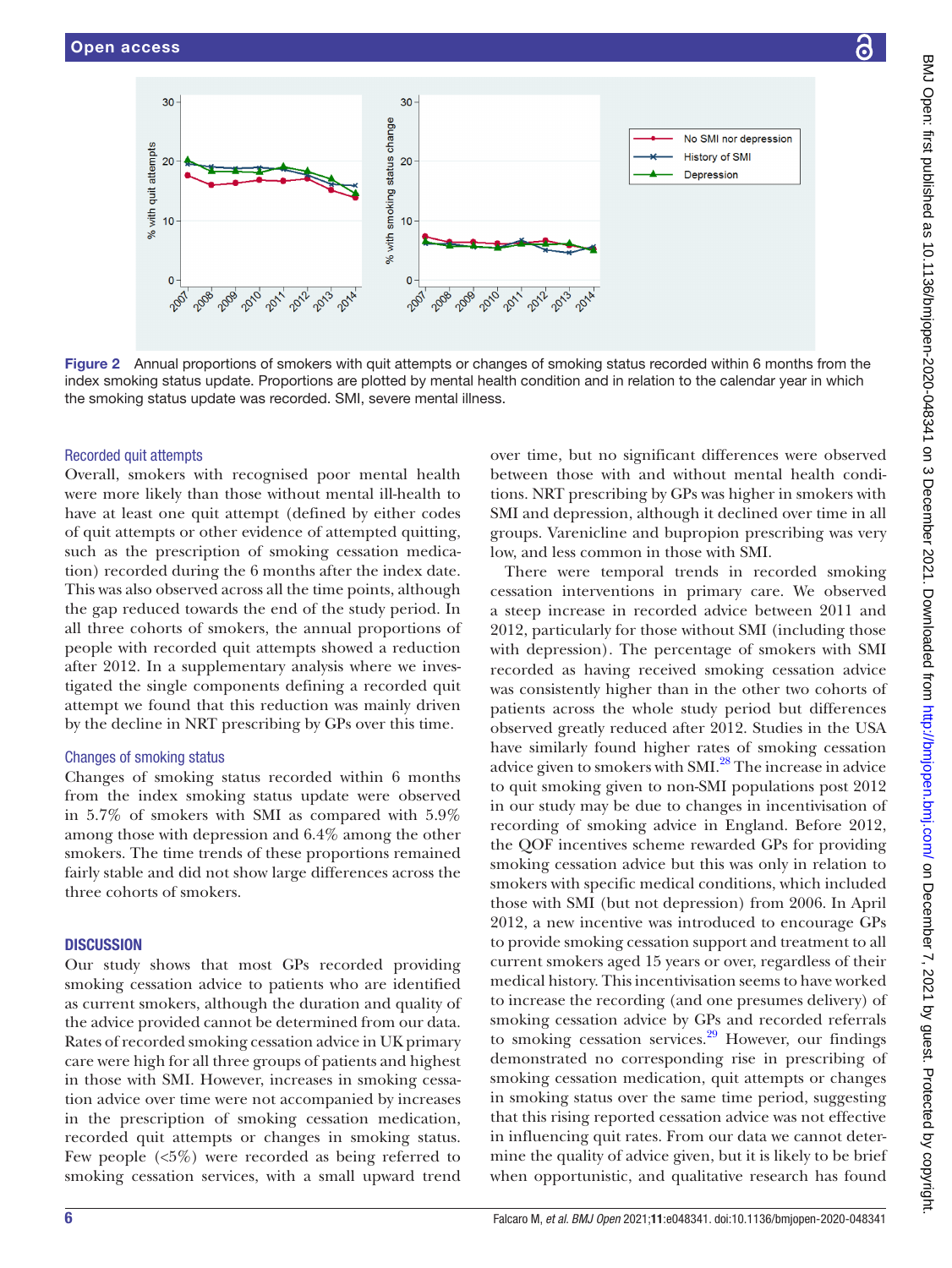

<span id="page-5-0"></span>Figure 2 Annual proportions of smokers with quit attempts or changes of smoking status recorded within 6 months from the index smoking status update. Proportions are plotted by mental health condition and in relation to the calendar year in which the smoking status update was recorded. SMI, severe mental illness.

#### Recorded quit attempts

Overall, smokers with recognised poor mental health were more likely than those without mental ill-health to have at least one quit attempt (defined by either codes of quit attempts or other evidence of attempted quitting, such as the prescription of smoking cessation medication) recorded during the 6 months after the index date. This was also observed across all the time points, although the gap reduced towards the end of the study period. In all three cohorts of smokers, the annual proportions of people with recorded quit attempts showed a reduction after 2012. In a supplementary analysis where we investigated the single components defining a recorded quit attempt we found that this reduction was mainly driven by the decline in NRT prescribing by GPs over this time.

#### Changes of smoking status

Changes of smoking status recorded within 6 months from the index smoking status update were observed in 5.7% of smokers with SMI as compared with 5.9% among those with depression and 6.4% among the other smokers. The time trends of these proportions remained fairly stable and did not show large differences across the three cohorts of smokers.

#### **DISCUSSION**

Our study shows that most GPs recorded providing smoking cessation advice to patients who are identified as current smokers, although the duration and quality of the advice provided cannot be determined from our data. Rates of recorded smoking cessation advice in UK primary care were high for all three groups of patients and highest in those with SMI. However, increases in smoking cessation advice over time were not accompanied by increases in the prescription of smoking cessation medication, recorded quit attempts or changes in smoking status. Few people (<5%) were recorded as being referred to smoking cessation services, with a small upward trend

over time, but no significant differences were observed between those with and without mental health conditions. NRT prescribing by GPs was higher in smokers with SMI and depression, although it declined over time in all groups. Varenicline and bupropion prescribing was very low, and less common in those with SMI.

There were temporal trends in recorded smoking cessation interventions in primary care. We observed a steep increase in recorded advice between 2011 and 2012, particularly for those without SMI (including those with depression). The percentage of smokers with SMI recorded as having received smoking cessation advice was consistently higher than in the other two cohorts of patients across the whole study period but differences observed greatly reduced after 2012. Studies in the USA have similarly found higher rates of smoking cessation advice given to smokers with SMI.<sup>[28](#page-8-20)</sup> The increase in advice to quit smoking given to non-SMI populations post 2012 in our study may be due to changes in incentivisation of recording of smoking advice in England. Before 2012, the QOF incentives scheme rewarded GPs for providing smoking cessation advice but this was only in relation to smokers with specific medical conditions, which included those with SMI (but not depression) from 2006. In April 2012, a new incentive was introduced to encourage GPs to provide smoking cessation support and treatment to all current smokers aged 15 years or over, regardless of their medical history. This incentivisation seems to have worked to increase the recording (and one presumes delivery) of smoking cessation advice by GPs and recorded referrals to smoking cessation services.<sup>29</sup> However, our findings demonstrated no corresponding rise in prescribing of smoking cessation medication, quit attempts or changes in smoking status over the same time period, suggesting that this rising reported cessation advice was not effective in influencing quit rates. From our data we cannot determine the quality of advice given, but it is likely to be brief when opportunistic, and qualitative research has found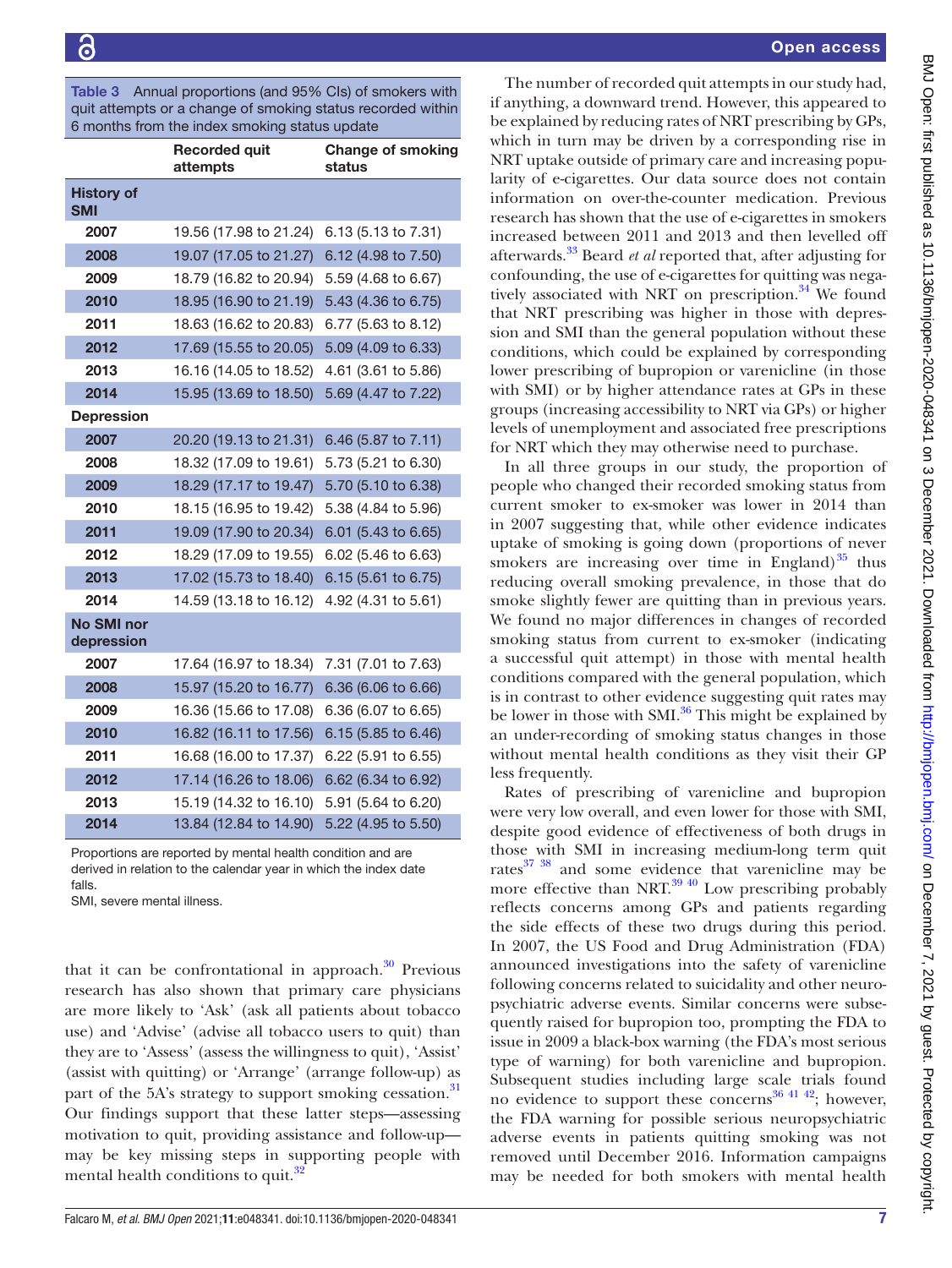<span id="page-6-0"></span>Table 3 Annual proportions (and 95% CIs) of smokers with quit attempts or a change of smoking status recorded within 6 months from the index smoking status update

|                                 | <b>Recorded quit</b><br>attempts | <b>Change of smoking</b><br>status |
|---------------------------------|----------------------------------|------------------------------------|
| <b>History of</b><br><b>SMI</b> |                                  |                                    |
| 2007                            | 19.56 (17.98 to 21.24)           | 6.13 (5.13 to 7.31)                |
| 2008                            | 19.07 (17.05 to 21.27)           | 6.12 (4.98 to 7.50)                |
| 2009                            | 18.79 (16.82 to 20.94)           | 5.59 (4.68 to 6.67)                |
| 2010                            | 18.95 (16.90 to 21.19)           | 5.43 (4.36 to 6.75)                |
| 2011                            | 18.63 (16.62 to 20.83)           | 6.77 (5.63 to 8.12)                |
| 2012                            | 17.69 (15.55 to 20.05)           | 5.09 (4.09 to 6.33)                |
| 2013                            | 16.16 (14.05 to 18.52)           | 4.61 (3.61 to 5.86)                |
| 2014                            | 15.95 (13.69 to 18.50)           | 5.69 (4.47 to 7.22)                |
| <b>Depression</b>               |                                  |                                    |
| 2007                            | 20.20 (19.13 to 21.31)           | 6.46 (5.87 to 7.11)                |
| 2008                            | 18.32 (17.09 to 19.61)           | 5.73 (5.21 to 6.30)                |
| 2009                            | 18.29 (17.17 to 19.47)           | 5.70 (5.10 to 6.38)                |
| 2010                            | 18.15 (16.95 to 19.42)           | 5.38 (4.84 to 5.96)                |
| 2011                            | 19.09 (17.90 to 20.34)           | 6.01 (5.43 to 6.65)                |
| 2012                            | 18.29 (17.09 to 19.55)           | 6.02 (5.46 to 6.63)                |
| 2013                            | 17.02 (15.73 to 18.40)           | 6.15 (5.61 to 6.75)                |
| 2014                            | 14.59 (13.18 to 16.12)           | 4.92 (4.31 to 5.61)                |
| <b>No SMI nor</b><br>depression |                                  |                                    |
| 2007                            | 17.64 (16.97 to 18.34)           | 7.31 (7.01 to 7.63)                |
| 2008                            | 15.97 (15.20 to 16.77)           | 6.36 (6.06 to 6.66)                |
| 2009                            | 16.36 (15.66 to 17.08)           | 6.36 (6.07 to 6.65)                |
| 2010                            | 16.82 (16.11 to 17.56)           | 6.15 (5.85 to 6.46)                |
| 2011                            | 16.68 (16.00 to 17.37)           | 6.22 (5.91 to 6.55)                |
| 2012                            | 17.14 (16.26 to 18.06)           | 6.62 (6.34 to 6.92)                |
| 2013                            | 15.19 (14.32 to 16.10)           | 5.91 (5.64 to 6.20)                |
| 2014                            | 13.84 (12.84 to 14.90)           | 5.22 (4.95 to 5.50)                |

Proportions are reported by mental health condition and are derived in relation to the calendar year in which the index date falls.

SMI, severe mental illness.

that it can be confrontational in approach. $30$  Previous research has also shown that primary care physicians are more likely to 'Ask' (ask all patients about tobacco use) and 'Advise' (advise all tobacco users to quit) than they are to 'Assess' (assess the willingness to quit), 'Assist' (assist with quitting) or 'Arrange' (arrange follow-up) as part of the 5A's strategy to support smoking cessation.<sup>31</sup> Our findings support that these latter steps—assessing motivation to quit, providing assistance and follow-up may be key missing steps in supporting people with mental health conditions to quit.<sup>[32](#page-8-24)</sup>

The number of recorded quit attempts in our study had, if anything, a downward trend. However, this appeared to be explained by reducing rates of NRT prescribing by GPs, which in turn may be driven by a corresponding rise in NRT uptake outside of primary care and increasing popularity of e-cigarettes. Our data source does not contain information on over-the-counter medication. Previous research has shown that the use of e-cigarettes in smokers increased between 2011 and 2013 and then levelled off afterwards.[33](#page-8-25) Beard *et al* reported that, after adjusting for confounding, the use of e-cigarettes for quitting was negatively associated with NRT on prescription. $34$  We found that NRT prescribing was higher in those with depression and SMI than the general population without these conditions, which could be explained by corresponding lower prescribing of bupropion or varenicline (in those with SMI) or by higher attendance rates at GPs in these groups (increasing accessibility to NRT via GPs) or higher levels of unemployment and associated free prescriptions for NRT which they may otherwise need to purchase.

In all three groups in our study, the proportion of people who changed their recorded smoking status from current smoker to ex-smoker was lower in 2014 than in 2007 suggesting that, while other evidence indicates uptake of smoking is going down (proportions of never smokers are increasing over time in England) $^{35}$  $^{35}$  $^{35}$  thus reducing overall smoking prevalence, in those that do smoke slightly fewer are quitting than in previous years. We found no major differences in changes of recorded smoking status from current to ex-smoker (indicating a successful quit attempt) in those with mental health conditions compared with the general population, which is in contrast to other evidence suggesting quit rates may be lower in those with  $SMI<sup>36</sup>$ . This might be explained by an under-recording of smoking status changes in those without mental health conditions as they visit their GP less frequently.

Rates of prescribing of varenicline and bupropion were very low overall, and even lower for those with SMI, despite good evidence of effectiveness of both drugs in those with SMI in increasing medium-long term quit rates<sup>37</sup> <sup>38</sup> and some evidence that varenicline may be more effective than NRT. $^{39}$  40 Low prescribing probably reflects concerns among GPs and patients regarding the side effects of these two drugs during this period. In 2007, the US Food and Drug Administration (FDA) announced investigations into the safety of varenicline following concerns related to suicidality and other neuropsychiatric adverse events. Similar concerns were subsequently raised for bupropion too, prompting the FDA to issue in 2009 a black-box warning (the FDA's most serious type of warning) for both varenicline and bupropion. Subsequent studies including large scale trials found no evidence to support these concerns<sup>36 41 42</sup>; however, the FDA warning for possible serious neuropsychiatric adverse events in patients quitting smoking was not removed until December 2016. Information campaigns may be needed for both smokers with mental health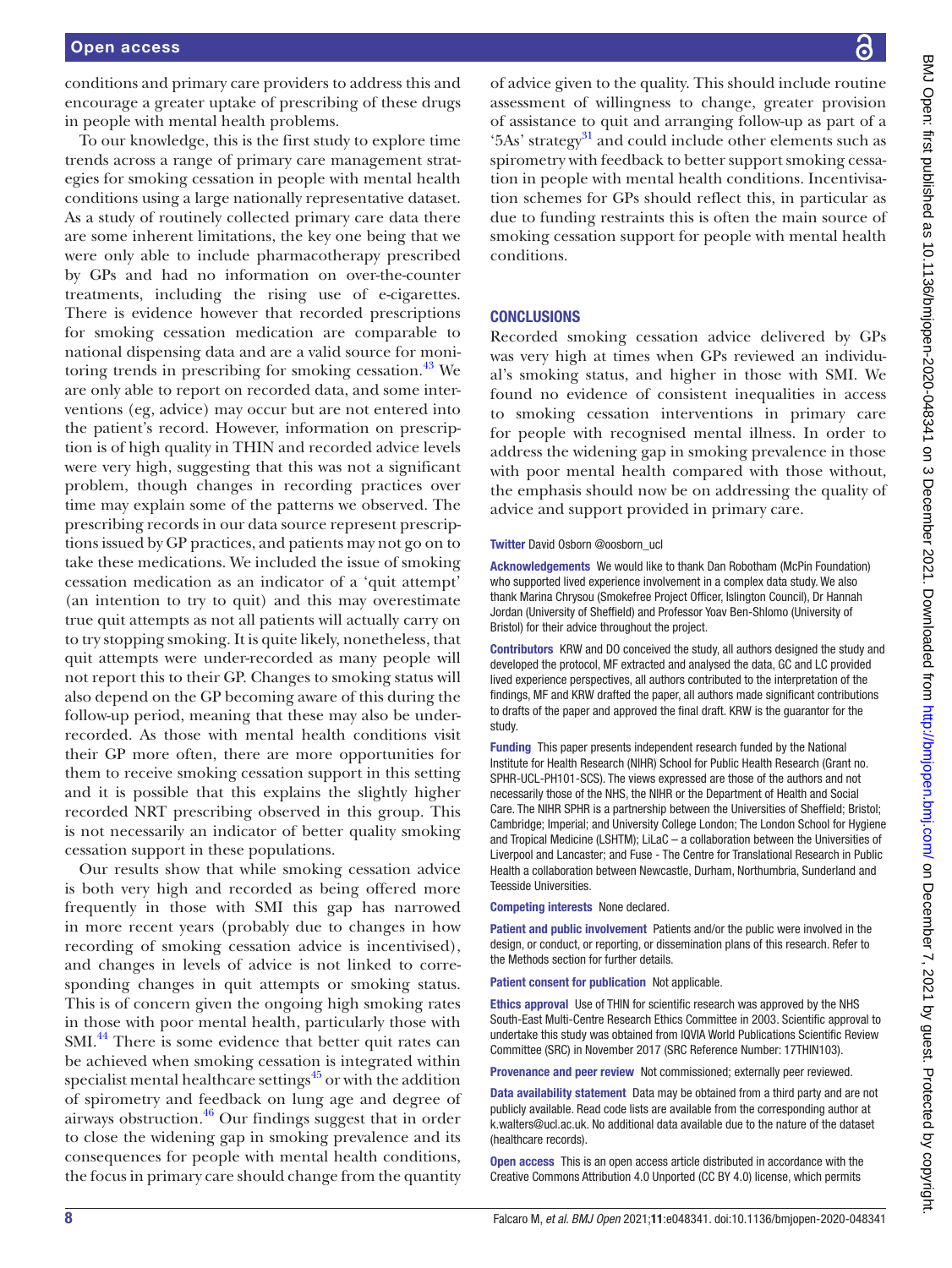conditions and primary care providers to address this and encourage a greater uptake of prescribing of these drugs in people with mental health problems.

To our knowledge, this is the first study to explore time trends across a range of primary care management strategies for smoking cessation in people with mental health conditions using a large nationally representative dataset. As a study of routinely collected primary care data there are some inherent limitations, the key one being that we were only able to include pharmacotherapy prescribed by GPs and had no information on over-the-counter treatments, including the rising use of e-cigarettes. There is evidence however that recorded prescriptions for smoking cessation medication are comparable to national dispensing data and are a valid source for monitoring trends in prescribing for smoking cessation.<sup>43</sup> We are only able to report on recorded data, and some interventions (eg, advice) may occur but are not entered into the patient's record. However, information on prescription is of high quality in THIN and recorded advice levels were very high, suggesting that this was not a significant problem, though changes in recording practices over time may explain some of the patterns we observed. The prescribing records in our data source represent prescriptions issued by GP practices, and patients may not go on to take these medications. We included the issue of smoking cessation medication as an indicator of a 'quit attempt' (an intention to try to quit) and this may overestimate true quit attempts as not all patients will actually carry on to try stopping smoking. It is quite likely, nonetheless, that quit attempts were under-recorded as many people will not report this to their GP. Changes to smoking status will also depend on the GP becoming aware of this during the follow-up period, meaning that these may also be underrecorded. As those with mental health conditions visit their GP more often, there are more opportunities for them to receive smoking cessation support in this setting and it is possible that this explains the slightly higher recorded NRT prescribing observed in this group. This is not necessarily an indicator of better quality smoking cessation support in these populations.

Our results show that while smoking cessation advice is both very high and recorded as being offered more frequently in those with SMI this gap has narrowed in more recent years (probably due to changes in how recording of smoking cessation advice is incentivised), and changes in levels of advice is not linked to corresponding changes in quit attempts or smoking status. This is of concern given the ongoing high smoking rates in those with poor mental health, particularly those with SMI.<sup>44</sup> There is some evidence that better quit rates can be achieved when smoking cessation is integrated within specialist mental healthcare settings $45$  or with the addition of spirometry and feedback on lung age and degree of airways obstruction. $46$  Our findings suggest that in order to close the widening gap in smoking prevalence and its consequences for people with mental health conditions, the focus in primary care should change from the quantity

of advice given to the quality. This should include routine assessment of willingness to change, greater provision of assistance to quit and arranging follow-up as part of a '5As' strategy<sup>31</sup> and could include other elements such as spirometry with feedback to better support smoking cessation in people with mental health conditions. Incentivisation schemes for GPs should reflect this, in particular as due to funding restraints this is often the main source of smoking cessation support for people with mental health conditions.

#### **CONCLUSIONS**

Recorded smoking cessation advice delivered by GPs was very high at times when GPs reviewed an individual's smoking status, and higher in those with SMI. We found no evidence of consistent inequalities in access to smoking cessation interventions in primary care for people with recognised mental illness. In order to address the widening gap in smoking prevalence in those with poor mental health compared with those without, the emphasis should now be on addressing the quality of advice and support provided in primary care.

#### Twitter David Osborn [@oosborn\\_ucl](https://twitter.com/oosborn_ucl)

Acknowledgements We would like to thank Dan Robotham (McPin Foundation) who supported lived experience involvement in a complex data study. We also thank Marina Chrysou (Smokefree Project Officer, Islington Council), Dr Hannah Jordan (University of Sheffield) and Professor Yoav Ben-Shlomo (University of Bristol) for their advice throughout the project.

Contributors KRW and DO conceived the study, all authors designed the study and developed the protocol, MF extracted and analysed the data, GC and LC provided lived experience perspectives, all authors contributed to the interpretation of the findings, MF and KRW drafted the paper, all authors made significant contributions to drafts of the paper and approved the final draft. KRW is the guarantor for the study.

Funding This paper presents independent research funded by the National Institute for Health Research (NIHR) School for Public Health Research (Grant no. SPHR-UCL-PH101-SCS). The views expressed are those of the authors and not necessarily those of the NHS, the NIHR or the Department of Health and Social Care. The NIHR SPHR is a partnership between the Universities of Sheffield; Bristol; Cambridge; Imperial; and University College London; The London School for Hygiene and Tropical Medicine (LSHTM); LiLaC – a collaboration between the Universities of Liverpool and Lancaster; and Fuse - The Centre for Translational Research in Public Health a collaboration between Newcastle, Durham, Northumbria, Sunderland and Teesside Universities.

Competing interests None declared.

Patient and public involvement Patients and/or the public were involved in the design, or conduct, or reporting, or dissemination plans of this research. Refer to the Methods section for further details.

Patient consent for publication Not applicable.

Ethics approval Use of THIN for scientific research was approved by the NHS South-East Multi-Centre Research Ethics Committee in 2003. Scientific approval to undertake this study was obtained from IQVIA World Publications Scientific Review Committee (SRC) in November 2017 (SRC Reference Number: 17THIN103).

Provenance and peer review Not commissioned; externally peer reviewed.

Data availability statement Data may be obtained from a third party and are not publicly available. Read code lists are available from the corresponding author at k.walters@ucl.ac.uk. No additional data available due to the nature of the dataset (healthcare records).

Open access This is an open access article distributed in accordance with the Creative Commons Attribution 4.0 Unported (CC BY 4.0) license, which permits